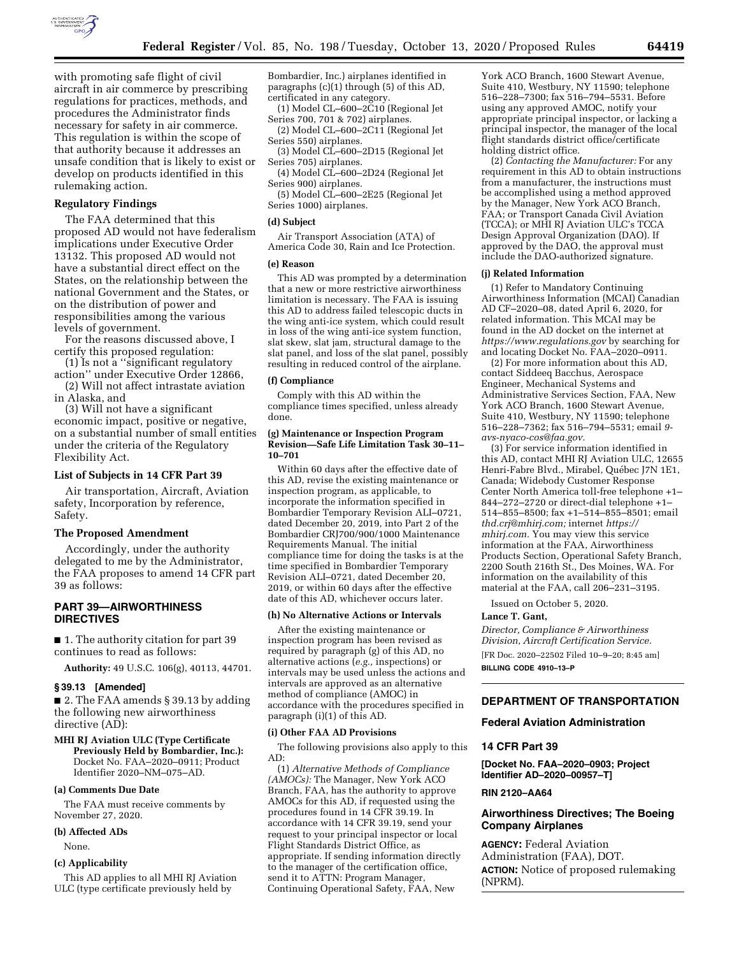

with promoting safe flight of civil aircraft in air commerce by prescribing regulations for practices, methods, and procedures the Administrator finds necessary for safety in air commerce. This regulation is within the scope of that authority because it addresses an unsafe condition that is likely to exist or develop on products identified in this rulemaking action.

# **Regulatory Findings**

The FAA determined that this proposed AD would not have federalism implications under Executive Order 13132. This proposed AD would not have a substantial direct effect on the States, on the relationship between the national Government and the States, or on the distribution of power and responsibilities among the various levels of government.

For the reasons discussed above, I certify this proposed regulation:

(1) Is not a ''significant regulatory action'' under Executive Order 12866,

(2) Will not affect intrastate aviation in Alaska, and

(3) Will not have a significant economic impact, positive or negative, on a substantial number of small entities under the criteria of the Regulatory Flexibility Act.

### **List of Subjects in 14 CFR Part 39**

Air transportation, Aircraft, Aviation safety, Incorporation by reference, Safety.

#### **The Proposed Amendment**

Accordingly, under the authority delegated to me by the Administrator, the FAA proposes to amend 14 CFR part 39 as follows:

# **PART 39—AIRWORTHINESS DIRECTIVES**

■ 1. The authority citation for part 39 continues to read as follows:

**Authority:** 49 U.S.C. 106(g), 40113, 44701.

#### **§ 39.13 [Amended]**

■ 2. The FAA amends § 39.13 by adding the following new airworthiness directive (AD):

## **MHI RJ Aviation ULC (Type Certificate Previously Held by Bombardier, Inc.):**  Docket No. FAA–2020–0911; Product Identifier 2020–NM–075–AD.

### **(a) Comments Due Date**

The FAA must receive comments by November 27, 2020.

# **(b) Affected ADs**

None.

# **(c) Applicability**

This AD applies to all MHI RJ Aviation ULC (type certificate previously held by

Bombardier, Inc.) airplanes identified in paragraphs (c)(1) through (5) of this AD, certificated in any category. (1) Model CL–600–2C10 (Regional Jet

Series 700, 701 & 702) airplanes. (2) Model CL–600–2C11 (Regional Jet

Series 550) airplanes. (3) Model CL–600–2D15 (Regional Jet

Series 705) airplanes.

(4) Model CL–600–2D24 (Regional Jet Series 900) airplanes.

(5) Model CL–600–2E25 (Regional Jet Series 1000) airplanes.

#### **(d) Subject**

Air Transport Association (ATA) of America Code 30, Rain and Ice Protection.

# **(e) Reason**

This AD was prompted by a determination that a new or more restrictive airworthiness limitation is necessary. The FAA is issuing this AD to address failed telescopic ducts in the wing anti-ice system, which could result in loss of the wing anti-ice system function, slat skew, slat jam, structural damage to the slat panel, and loss of the slat panel, possibly resulting in reduced control of the airplane.

#### **(f) Compliance**

Comply with this AD within the compliance times specified, unless already done.

### **(g) Maintenance or Inspection Program Revision—Safe Life Limitation Task 30–11– 10–701**

Within 60 days after the effective date of this AD, revise the existing maintenance or inspection program, as applicable, to incorporate the information specified in Bombardier Temporary Revision ALI–0721, dated December 20, 2019, into Part 2 of the Bombardier CRJ700/900/1000 Maintenance Requirements Manual. The initial compliance time for doing the tasks is at the time specified in Bombardier Temporary Revision ALI–0721, dated December 20, 2019, or within 60 days after the effective date of this AD, whichever occurs later.

# **(h) No Alternative Actions or Intervals**

After the existing maintenance or inspection program has been revised as required by paragraph (g) of this AD, no alternative actions (*e.g.,* inspections) or intervals may be used unless the actions and intervals are approved as an alternative method of compliance (AMOC) in accordance with the procedures specified in paragraph (i)(1) of this AD.

### **(i) Other FAA AD Provisions**

The following provisions also apply to this AD:

(1) *Alternative Methods of Compliance (AMOCs):* The Manager, New York ACO Branch, FAA, has the authority to approve AMOCs for this AD, if requested using the procedures found in 14 CFR 39.19. In accordance with 14 CFR 39.19, send your request to your principal inspector or local Flight Standards District Office, as appropriate. If sending information directly to the manager of the certification office, send it to ATTN: Program Manager, Continuing Operational Safety, FAA, New

York ACO Branch, 1600 Stewart Avenue, Suite 410, Westbury, NY 11590; telephone 516–228–7300; fax 516–794–5531. Before using any approved AMOC, notify your appropriate principal inspector, or lacking a principal inspector, the manager of the local flight standards district office/certificate holding district office.

(2) *Contacting the Manufacturer:* For any requirement in this AD to obtain instructions from a manufacturer, the instructions must be accomplished using a method approved by the Manager, New York ACO Branch, FAA; or Transport Canada Civil Aviation (TCCA); or MHI RJ Aviation ULC's TCCA Design Approval Organization (DAO). If approved by the DAO, the approval must include the DAO-authorized signature.

#### **(j) Related Information**

(1) Refer to Mandatory Continuing Airworthiness Information (MCAI) Canadian AD CF–2020–08, dated April 6, 2020, for related information. This MCAI may be found in the AD docket on the internet at *<https://www.regulations.gov>* by searching for and locating Docket No. FAA–2020–0911.

(2) For more information about this AD, contact Siddeeq Bacchus, Aerospace Engineer, Mechanical Systems and Administrative Services Section, FAA, New York ACO Branch, 1600 Stewart Avenue, Suite 410, Westbury, NY 11590; telephone 516–228–7362; fax 516–794–5531; email *[9](mailto:9-avs-nyaco-cos@faa.gov)  [avs-nyaco-cos@faa.gov.](mailto:9-avs-nyaco-cos@faa.gov)* 

(3) For service information identified in this AD, contact MHI RJ Aviation ULC, 12655 Henri-Fabre Blvd., Mirabel, Québec J7N 1E1, Canada; Widebody Customer Response Center North America toll-free telephone +1– 844–272–2720 or direct-dial telephone +1– 514–855–8500; fax +1–514–855–8501; email *[thd.crj@mhirj.com;](mailto:thd.crj@mhirj.com)* internet *[https://](https://mhirj.com) [mhirj.com.](https://mhirj.com)* You may view this service information at the FAA, Airworthiness Products Section, Operational Safety Branch, 2200 South 216th St., Des Moines, WA. For information on the availability of this material at the FAA, call 206–231–3195.

Issued on October 5, 2020.

#### **Lance T. Gant,**

*Director, Compliance & Airworthiness Division, Aircraft Certification Service.* 

[FR Doc. 2020–22502 Filed 10–9–20; 8:45 am] **BILLING CODE 4910–13–P** 

### **DEPARTMENT OF TRANSPORTATION**

### **Federal Aviation Administration**

#### **14 CFR Part 39**

**[Docket No. FAA–2020–0903; Project Identifier AD–2020–00957–T]** 

### **RIN 2120–AA64**

# **Airworthiness Directives; The Boeing Company Airplanes**

**AGENCY:** Federal Aviation Administration (FAA), DOT. **ACTION:** Notice of proposed rulemaking (NPRM).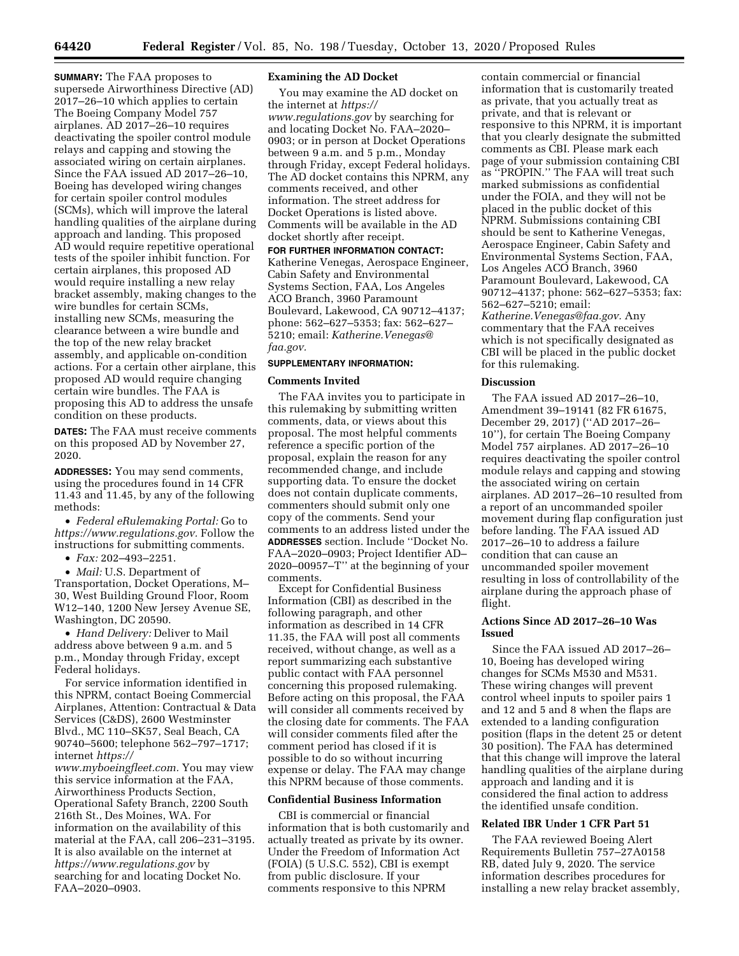**SUMMARY:** The FAA proposes to supersede Airworthiness Directive (AD) 2017–26–10 which applies to certain The Boeing Company Model 757 airplanes. AD 2017–26–10 requires deactivating the spoiler control module relays and capping and stowing the associated wiring on certain airplanes. Since the FAA issued AD 2017–26–10, Boeing has developed wiring changes for certain spoiler control modules (SCMs), which will improve the lateral handling qualities of the airplane during approach and landing. This proposed AD would require repetitive operational tests of the spoiler inhibit function. For certain airplanes, this proposed AD would require installing a new relay bracket assembly, making changes to the wire bundles for certain SCMs, installing new SCMs, measuring the clearance between a wire bundle and the top of the new relay bracket assembly, and applicable on-condition actions. For a certain other airplane, this proposed AD would require changing certain wire bundles. The FAA is proposing this AD to address the unsafe condition on these products.

**DATES:** The FAA must receive comments on this proposed AD by November 27, 2020.

**ADDRESSES:** You may send comments, using the procedures found in 14 CFR 11.43 and 11.45, by any of the following methods:

• *Federal eRulemaking Portal:* Go to *[https://www.regulations.gov.](https://www.regulations.gov)* Follow the instructions for submitting comments.

• *Fax:* 202–493–2251.

• *Mail:* U.S. Department of Transportation, Docket Operations, M– 30, West Building Ground Floor, Room W12–140, 1200 New Jersey Avenue SE, Washington, DC 20590.

• *Hand Delivery:* Deliver to Mail address above between 9 a.m. and 5 p.m., Monday through Friday, except Federal holidays.

For service information identified in this NPRM, contact Boeing Commercial Airplanes, Attention: Contractual & Data Services (C&DS), 2600 Westminster Blvd., MC 110–SK57, Seal Beach, CA 90740–5600; telephone 562–797–1717; internet *[https://](https://www.myboeingfleet.com)*

*[www.myboeingfleet.com.](https://www.myboeingfleet.com)* You may view this service information at the FAA, Airworthiness Products Section, Operational Safety Branch, 2200 South 216th St., Des Moines, WA. For information on the availability of this material at the FAA, call 206–231–3195. It is also available on the internet at *<https://www.regulations.gov>* by searching for and locating Docket No. FAA–2020–0903.

# **Examining the AD Docket**

You may examine the AD docket on the internet at *[https://](https://www.regulations.gov) [www.regulations.gov](https://www.regulations.gov)* by searching for and locating Docket No. FAA–2020– 0903; or in person at Docket Operations between 9 a.m. and 5 p.m., Monday through Friday, except Federal holidays. The AD docket contains this NPRM, any comments received, and other information. The street address for Docket Operations is listed above. Comments will be available in the AD docket shortly after receipt.

**FOR FURTHER INFORMATION CONTACT:**  Katherine Venegas, Aerospace Engineer, Cabin Safety and Environmental Systems Section, FAA, Los Angeles ACO Branch, 3960 Paramount Boulevard, Lakewood, CA 90712–4137; phone: 562–627–5353; fax: 562–627– 5210; email: *[Katherine.Venegas@](mailto:Katherine.Venegas@faa.gov) [faa.gov.](mailto:Katherine.Venegas@faa.gov)* 

### **SUPPLEMENTARY INFORMATION:**

#### **Comments Invited**

The FAA invites you to participate in this rulemaking by submitting written comments, data, or views about this proposal. The most helpful comments reference a specific portion of the proposal, explain the reason for any recommended change, and include supporting data. To ensure the docket does not contain duplicate comments, commenters should submit only one copy of the comments. Send your comments to an address listed under the **ADDRESSES** section. Include ''Docket No. FAA–2020–0903; Project Identifier AD– 2020–00957–T'' at the beginning of your comments.

Except for Confidential Business Information (CBI) as described in the following paragraph, and other information as described in 14 CFR 11.35, the FAA will post all comments received, without change, as well as a report summarizing each substantive public contact with FAA personnel concerning this proposed rulemaking. Before acting on this proposal, the FAA will consider all comments received by the closing date for comments. The FAA will consider comments filed after the comment period has closed if it is possible to do so without incurring expense or delay. The FAA may change this NPRM because of those comments.

# **Confidential Business Information**

CBI is commercial or financial information that is both customarily and actually treated as private by its owner. Under the Freedom of Information Act (FOIA) (5 U.S.C. 552), CBI is exempt from public disclosure. If your comments responsive to this NPRM

contain commercial or financial information that is customarily treated as private, that you actually treat as private, and that is relevant or responsive to this NPRM, it is important that you clearly designate the submitted comments as CBI. Please mark each page of your submission containing CBI as ''PROPIN.'' The FAA will treat such marked submissions as confidential under the FOIA, and they will not be placed in the public docket of this NPRM. Submissions containing CBI should be sent to Katherine Venegas, Aerospace Engineer, Cabin Safety and Environmental Systems Section, FAA, Los Angeles ACO Branch, 3960 Paramount Boulevard, Lakewood, CA 90712–4137; phone: 562–627–5353; fax: 562–627–5210; email: *[Katherine.Venegas@faa.gov.](mailto:Katherine.Venegas@faa.gov)* Any commentary that the FAA receives which is not specifically designated as CBI will be placed in the public docket for this rulemaking.

#### **Discussion**

The FAA issued AD 2017–26–10, Amendment 39–19141 (82 FR 61675, December 29, 2017) (''AD 2017–26– 10''), for certain The Boeing Company Model 757 airplanes. AD 2017–26–10 requires deactivating the spoiler control module relays and capping and stowing the associated wiring on certain airplanes. AD 2017–26–10 resulted from a report of an uncommanded spoiler movement during flap configuration just before landing. The FAA issued AD 2017–26–10 to address a failure condition that can cause an uncommanded spoiler movement resulting in loss of controllability of the airplane during the approach phase of flight.

# **Actions Since AD 2017–26–10 Was Issued**

Since the FAA issued AD 2017–26– 10, Boeing has developed wiring changes for SCMs M530 and M531. These wiring changes will prevent control wheel inputs to spoiler pairs 1 and 12 and 5 and 8 when the flaps are extended to a landing configuration position (flaps in the detent 25 or detent 30 position). The FAA has determined that this change will improve the lateral handling qualities of the airplane during approach and landing and it is considered the final action to address the identified unsafe condition.

## **Related IBR Under 1 CFR Part 51**

The FAA reviewed Boeing Alert Requirements Bulletin 757–27A0158 RB, dated July 9, 2020. The service information describes procedures for installing a new relay bracket assembly,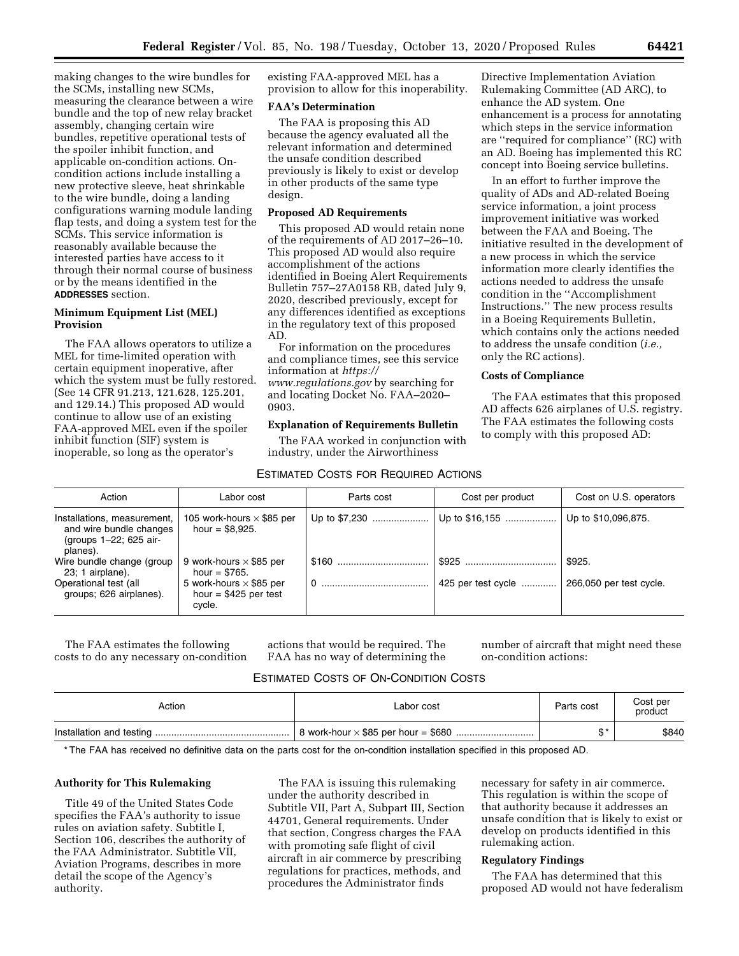making changes to the wire bundles for the SCMs, installing new SCMs, measuring the clearance between a wire bundle and the top of new relay bracket assembly, changing certain wire bundles, repetitive operational tests of the spoiler inhibit function, and applicable on-condition actions. Oncondition actions include installing a new protective sleeve, heat shrinkable to the wire bundle, doing a landing configurations warning module landing flap tests, and doing a system test for the SCMs. This service information is reasonably available because the interested parties have access to it through their normal course of business or by the means identified in the **ADDRESSES** section.

# **Minimum Equipment List (MEL) Provision**

The FAA allows operators to utilize a MEL for time-limited operation with certain equipment inoperative, after which the system must be fully restored. (See 14 CFR 91.213, 121.628, 125.201, and 129.14.) This proposed AD would continue to allow use of an existing FAA-approved MEL even if the spoiler inhibit function (SIF) system is inoperable, so long as the operator's

existing FAA-approved MEL has a provision to allow for this inoperability.

### **FAA's Determination**

The FAA is proposing this AD because the agency evaluated all the relevant information and determined the unsafe condition described previously is likely to exist or develop in other products of the same type design.

# **Proposed AD Requirements**

This proposed AD would retain none of the requirements of AD 2017–26–10. This proposed AD would also require accomplishment of the actions identified in Boeing Alert Requirements Bulletin 757–27A0158 RB, dated July 9, 2020, described previously, except for any differences identified as exceptions in the regulatory text of this proposed AD.

For information on the procedures and compliance times, see this service information at *[https://](https://www.regulations.gov) [www.regulations.gov](https://www.regulations.gov)* by searching for and locating Docket No. FAA–2020– 0903.

# **Explanation of Requirements Bulletin**

The FAA worked in conjunction with industry, under the Airworthiness

# ESTIMATED COSTS FOR REQUIRED ACTIONS

Directive Implementation Aviation Rulemaking Committee (AD ARC), to enhance the AD system. One enhancement is a process for annotating which steps in the service information are ''required for compliance'' (RC) with an AD. Boeing has implemented this RC concept into Boeing service bulletins.

In an effort to further improve the quality of ADs and AD-related Boeing service information, a joint process improvement initiative was worked between the FAA and Boeing. The initiative resulted in the development of a new process in which the service information more clearly identifies the actions needed to address the unsafe condition in the ''Accomplishment Instructions.'' The new process results in a Boeing Requirements Bulletin, which contains only the actions needed to address the unsafe condition (*i.e.,*  only the RC actions).

# **Costs of Compliance**

The FAA estimates that this proposed AD affects 626 airplanes of U.S. registry. The FAA estimates the following costs to comply with this proposed AD:

| Action                                                                           | Labor cost                                                         | Parts cost    | Cost per product   | Cost on U.S. operators  |
|----------------------------------------------------------------------------------|--------------------------------------------------------------------|---------------|--------------------|-------------------------|
| Installations, measurement,<br>and wire bundle changes<br>(groups 1-22; 625 air- | 105 work-hours $\times$ \$85 per<br>hour = $$8,925$ .              | Up to \$7,230 | Up to \$16,155     | Up to \$10,096,875.     |
| planes).<br>Wire bundle change (group<br>23; 1 airplane).                        | 9 work-hours $\times$ \$85 per<br>hour = $$765.$                   |               |                    | \$925.                  |
| Operational test (all<br>groups; 626 airplanes).                                 | 5 work-hours $\times$ \$85 per<br>hour = $$425$ per test<br>cvcle. |               | 425 per test cycle | 266,050 per test cycle. |

The FAA estimates the following costs to do any necessary on-condition actions that would be required. The FAA has no way of determining the

number of aircraft that might need these on-condition actions:

# ESTIMATED COSTS OF ON-CONDITION COSTS

| Action | Labor cost | Parts cost | Cost per<br>product |
|--------|------------|------------|---------------------|
|        |            |            | \$840               |

\* The FAA has received no definitive data on the parts cost for the on-condition installation specified in this proposed AD.

# **Authority for This Rulemaking**

Title 49 of the United States Code specifies the FAA's authority to issue rules on aviation safety. Subtitle I, Section 106, describes the authority of the FAA Administrator. Subtitle VII, Aviation Programs, describes in more detail the scope of the Agency's authority.

The FAA is issuing this rulemaking under the authority described in Subtitle VII, Part A, Subpart III, Section 44701, General requirements. Under that section, Congress charges the FAA with promoting safe flight of civil aircraft in air commerce by prescribing regulations for practices, methods, and procedures the Administrator finds

necessary for safety in air commerce. This regulation is within the scope of that authority because it addresses an unsafe condition that is likely to exist or develop on products identified in this rulemaking action.

# **Regulatory Findings**

The FAA has determined that this proposed AD would not have federalism